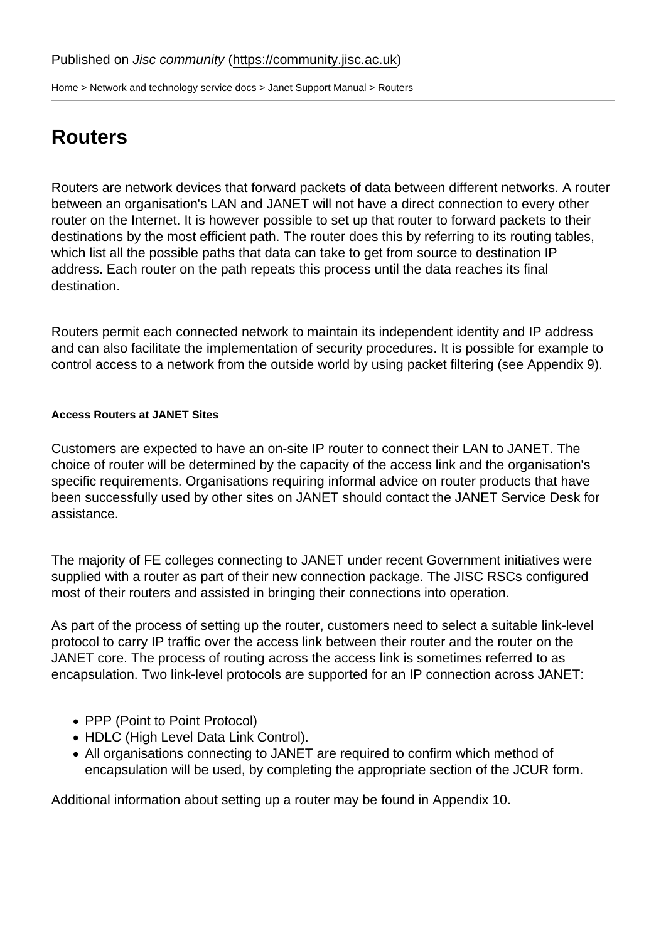[Home](https://community.jisc.ac.uk/) > [Network and technology service docs](https://community.jisc.ac.uk/library/janet-services-documentation) > [Janet Support Manual](https://community.jisc.ac.uk/library/janet-services-documentation/janet-support-manual) > Routers

# **Routers**

Routers are network devices that forward packets of data between different networks. A router between an organisation's LAN and JANET will not have a direct connection to every other router on the Internet. It is however possible to set up that router to forward packets to their destinations by the most efficient path. The router does this by referring to its routing tables, which list all the possible paths that data can take to get from source to destination IP address. Each router on the path repeats this process until the data reaches its final destination.

Routers permit each connected network to maintain its independent identity and IP address and can also facilitate the implementation of security procedures. It is possible for example to control access to a network from the outside world by using packet filtering (see Appendix 9).

Access Routers at JANET Sites

Customers are expected to have an on-site IP router to connect their LAN to JANET. The choice of router will be determined by the capacity of the access link and the organisation's specific requirements. Organisations requiring informal advice on router products that have been successfully used by other sites on JANET should contact the JANET Service Desk for assistance.

The majority of FE colleges connecting to JANET under recent Government initiatives were supplied with a router as part of their new connection package. The JISC RSCs configured most of their routers and assisted in bringing their connections into operation.

As part of the process of setting up the router, customers need to select a suitable link-level protocol to carry IP traffic over the access link between their router and the router on the JANET core. The process of routing across the access link is sometimes referred to as encapsulation. Two link-level protocols are supported for an IP connection across JANET:

- PPP (Point to Point Protocol)
- HDLC (High Level Data Link Control).
- All organisations connecting to JANET are required to confirm which method of encapsulation will be used, by completing the appropriate section of the JCUR form.

Additional information about setting up a router may be found in Appendix 10.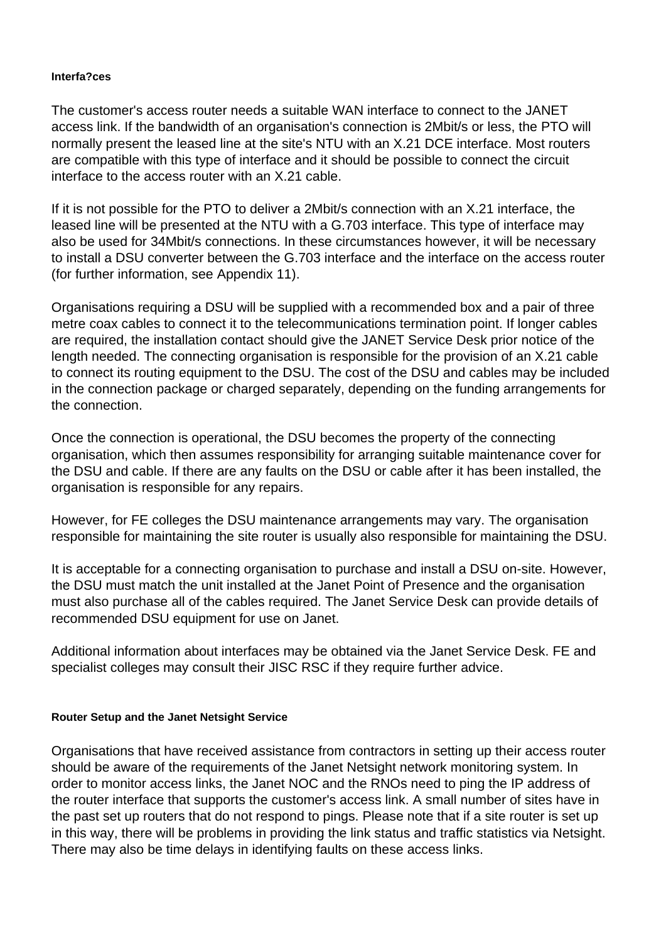### **Interfa?ces**

The customer's access router needs a suitable WAN interface to connect to the JANET access link. If the bandwidth of an organisation's connection is 2Mbit/s or less, the PTO will normally present the leased line at the site's NTU with an X.21 DCE interface. Most routers are compatible with this type of interface and it should be possible to connect the circuit interface to the access router with an X.21 cable.

If it is not possible for the PTO to deliver a 2Mbit/s connection with an X.21 interface, the leased line will be presented at the NTU with a G.703 interface. This type of interface may also be used for 34Mbit/s connections. In these circumstances however, it will be necessary to install a DSU converter between the G.703 interface and the interface on the access router (for further information, see Appendix 11).

Organisations requiring a DSU will be supplied with a recommended box and a pair of three metre coax cables to connect it to the telecommunications termination point. If longer cables are required, the installation contact should give the JANET Service Desk prior notice of the length needed. The connecting organisation is responsible for the provision of an X.21 cable to connect its routing equipment to the DSU. The cost of the DSU and cables may be included in the connection package or charged separately, depending on the funding arrangements for the connection.

Once the connection is operational, the DSU becomes the property of the connecting organisation, which then assumes responsibility for arranging suitable maintenance cover for the DSU and cable. If there are any faults on the DSU or cable after it has been installed, the organisation is responsible for any repairs.

However, for FE colleges the DSU maintenance arrangements may vary. The organisation responsible for maintaining the site router is usually also responsible for maintaining the DSU.

It is acceptable for a connecting organisation to purchase and install a DSU on-site. However, the DSU must match the unit installed at the Janet Point of Presence and the organisation must also purchase all of the cables required. The Janet Service Desk can provide details of recommended DSU equipment for use on Janet.

Additional information about interfaces may be obtained via the Janet Service Desk. FE and specialist colleges may consult their JISC RSC if they require further advice.

#### **Router Setup and the Janet Netsight Service**

Organisations that have received assistance from contractors in setting up their access router should be aware of the requirements of the Janet Netsight network monitoring system. In order to monitor access links, the Janet NOC and the RNOs need to ping the IP address of the router interface that supports the customer's access link. A small number of sites have in the past set up routers that do not respond to pings. Please note that if a site router is set up in this way, there will be problems in providing the link status and traffic statistics via Netsight. There may also be time delays in identifying faults on these access links.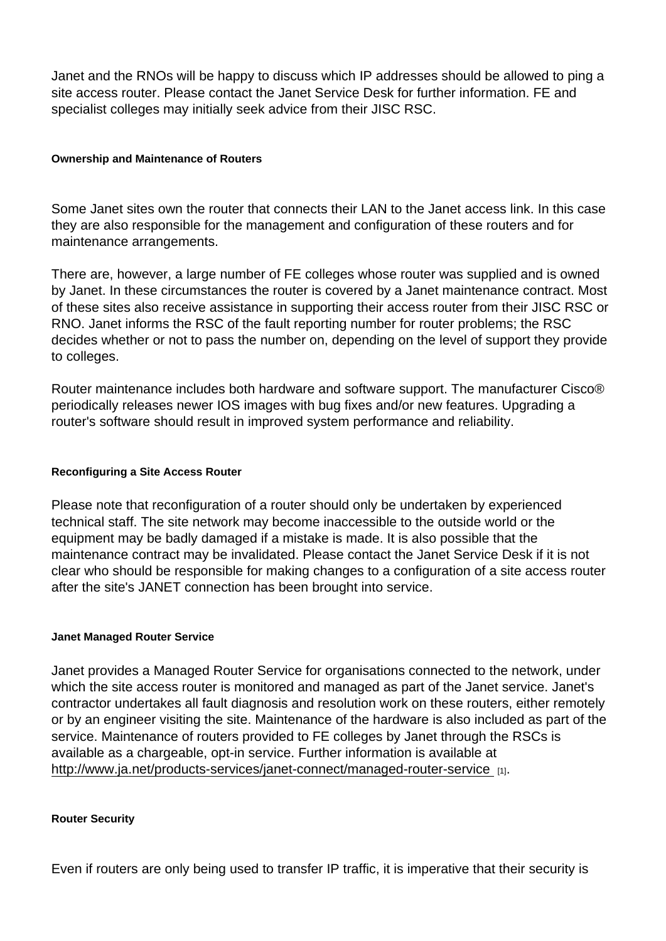Janet and the RNOs will be happy to discuss which IP addresses should be allowed to ping a site access router. Please contact the Janet Service Desk for further information. FE and specialist colleges may initially seek advice from their JISC RSC.

Ownership and Maintenance of Routers

Some Janet sites own the router that connects their LAN to the Janet access link. In this case they are also responsible for the management and configuration of these routers and for maintenance arrangements.

There are, however, a large number of FE colleges whose router was supplied and is owned by Janet. In these circumstances the router is covered by a Janet maintenance contract. Most of these sites also receive assistance in supporting their access router from their JISC RSC or RNO. Janet informs the RSC of the fault reporting number for router problems; the RSC decides whether or not to pass the number on, depending on the level of support they provide to colleges.

Router maintenance includes both hardware and software support. The manufacturer Cisco® periodically releases newer IOS images with bug fixes and/or new features. Upgrading a router's software should result in improved system performance and reliability.

Reconfiguring a Site Access Router

Please note that reconfiguration of a router should only be undertaken by experienced technical staff. The site network may become inaccessible to the outside world or the equipment may be badly damaged if a mistake is made. It is also possible that the maintenance contract may be invalidated. Please contact the Janet Service Desk if it is not clear who should be responsible for making changes to a configuration of a site access router after the site's JANET connection has been brought into service.

#### Janet Managed Router Service

Janet provides a Managed Router Service for organisations connected to the network, under which the site access router is monitored and managed as part of the Janet service. Janet's contractor undertakes all fault diagnosis and resolution work on these routers, either remotely or by an engineer visiting the site. Maintenance of the hardware is also included as part of the service. Maintenance of routers provided to FE colleges by Janet through the RSCs is available as a chargeable, opt-in service. Further information is available at [http://www.ja.net/products-services/janet-connect/managed-router-service](http://www.ja.net/products-services/janet-connect/managed-router-service ) [1].

Router Security

Even if routers are only being used to transfer IP traffic, it is imperative that their security is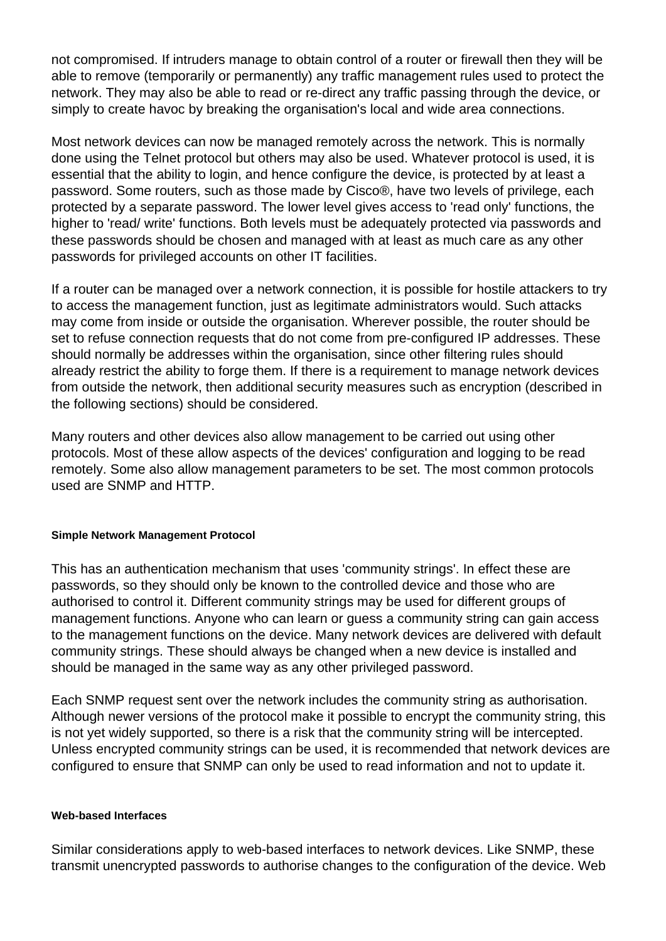not compromised. If intruders manage to obtain control of a router or firewall then they will be able to remove (temporarily or permanently) any traffic management rules used to protect the network. They may also be able to read or re-direct any traffic passing through the device, or simply to create havoc by breaking the organisation's local and wide area connections.

Most network devices can now be managed remotely across the network. This is normally done using the Telnet protocol but others may also be used. Whatever protocol is used, it is essential that the ability to login, and hence configure the device, is protected by at least a password. Some routers, such as those made by Cisco®, have two levels of privilege, each protected by a separate password. The lower level gives access to 'read only' functions, the higher to 'read/ write' functions. Both levels must be adequately protected via passwords and these passwords should be chosen and managed with at least as much care as any other passwords for privileged accounts on other IT facilities.

If a router can be managed over a network connection, it is possible for hostile attackers to try to access the management function, just as legitimate administrators would. Such attacks may come from inside or outside the organisation. Wherever possible, the router should be set to refuse connection requests that do not come from pre-configured IP addresses. These should normally be addresses within the organisation, since other filtering rules should already restrict the ability to forge them. If there is a requirement to manage network devices from outside the network, then additional security measures such as encryption (described in the following sections) should be considered.

Many routers and other devices also allow management to be carried out using other protocols. Most of these allow aspects of the devices' configuration and logging to be read remotely. Some also allow management parameters to be set. The most common protocols used are SNMP and HTTP.

#### **Simple Network Management Protocol**

This has an authentication mechanism that uses 'community strings'. In effect these are passwords, so they should only be known to the controlled device and those who are authorised to control it. Different community strings may be used for different groups of management functions. Anyone who can learn or guess a community string can gain access to the management functions on the device. Many network devices are delivered with default community strings. These should always be changed when a new device is installed and should be managed in the same way as any other privileged password.

Each SNMP request sent over the network includes the community string as authorisation. Although newer versions of the protocol make it possible to encrypt the community string, this is not yet widely supported, so there is a risk that the community string will be intercepted. Unless encrypted community strings can be used, it is recommended that network devices are configured to ensure that SNMP can only be used to read information and not to update it.

#### **Web-based Interfaces**

Similar considerations apply to web-based interfaces to network devices. Like SNMP, these transmit unencrypted passwords to authorise changes to the configuration of the device. Web